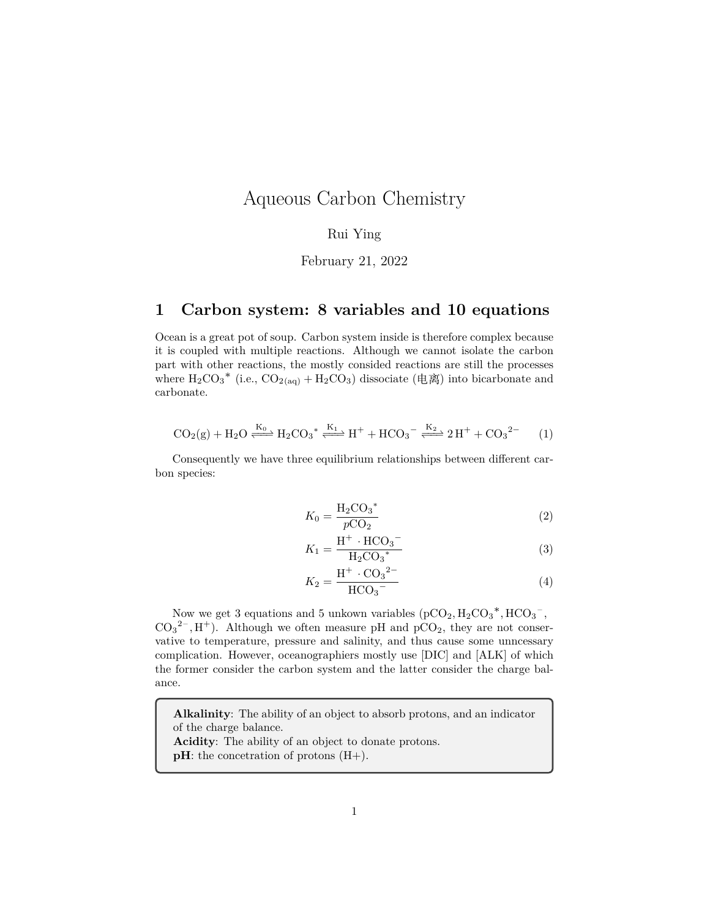## Aqueous Carbon Chemistry

#### Rui Ying

#### February 21, 2022

### **1 Carbon system: 8 variables and 10 equations**

Ocean is a great pot of soup. Carbon system inside is therefore complex because it is coupled with multiple reactions. Although we cannot isolate the carbon part with other reactions, the mostly consided reactions are still the processes where  $H_2CO_3^*$  (i.e.,  $CO_{2(aq)} + H_2CO_3$ ) dissociate (电离) into bicarbonate and carbonate.

$$
CO_2(g) + H_2O \xrightarrow{K_0} H_2CO_3^* \xleftarrow{K_1} H^+ + HCO_3^- \xleftarrow{K_2} 2H^+ + CO_3^{2-} \tag{1}
$$

Consequently we have three equilibrium relationships between different carbon species:

$$
K_0 = \frac{H_2 CO_3^*}{pCO_2}
$$
 (2)

$$
K_1 = \frac{\mathrm{H}^+ \cdot \mathrm{HCO}_3^-}{\mathrm{H}_2\mathrm{CO}_3^*} \tag{3}
$$

$$
K_2 = \frac{\mathrm{H}^+ \cdot \mathrm{CO}_3{}^{2-}}{\mathrm{HCO}_3{}^{-}}\tag{4}
$$

Now we get 3 equations and 5 unkown variables  $(pCO_2, H_2CO_3^*, HCO_3^-$ ,  $CO_3^2$ , H<sup>+</sup>). Although we often measure pH and pCO<sub>2</sub>, they are not conservative to temperature, pressure and salinity, and thus cause some unncessary complication. However, oceanographiers mostly use [DIC] and [ALK] of which the former consider the carbon system and the latter consider the charge balance.

**Alkalinity**: The ability of an object to absorb protons, and an indicator of the charge balance.

**Acidity**: The ability of an object to donate protons.

**pH**: the concetration of protons  $(H+)$ .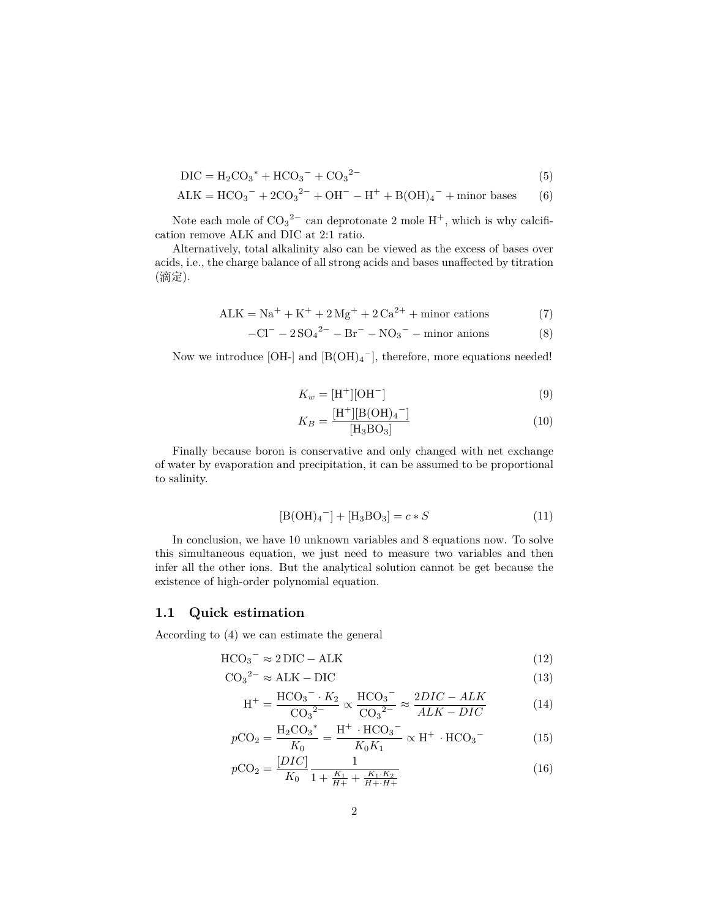$$
DIC = H_2CO_3^* + HCO_3^- + CO_3^{2-}
$$
\n(5)

$$
ALK = HCO_3^- + 2CO_3^{2-} + OH^- - H^+ + B(OH)_4^- + \text{minor bases} \tag{6}
$$

Note each mole of  $CO_3^2$ <sup>-</sup> can deprotonate 2 mole  $H^+$ , which is why calcification remove ALK and DIC at 2:1 ratio.

Alternatively, total alkalinity also can be viewed as the excess of bases over acids, i.e., the charge balance of all strong acids and bases unaffected by titration (滴定).

$$
ALK = Na+ + K+ + 2 Mg+ + 2 Ca2+ + minor cations
$$
 (7)

$$
-Cl^- - 2SO_4^{2-} - Br^- - NO_3^- - minor anions \tag{8}
$$

Now we introduce  $[OH<sub>-</sub>]$  and  $[B(OH)<sub>4</sub><sup>-</sup>]$ , therefore, more equations needed!

$$
K_w = \text{[H}^+ \text{]} \text{[OH}^- \text{]} \tag{9}
$$

$$
K_B = \frac{[\text{H}^+][\text{B}(\text{OH})_4^-]}{[\text{H}_3\text{BO}_3]}
$$
(10)

Finally because boron is conservative and only changed with net exchange of water by evaporation and precipitation, it can be assumed to be proportional to salinity.

$$
[B(OH)4-] + [H3BO3] = c * S
$$
 (11)

In conclusion, we have 10 unknown variables and 8 equations now. To solve this simultaneous equation, we just need to measure two variables and then infer all the other ions. But the analytical solution cannot be get because the existence of high-order polynomial equation.

#### **1.1 Quick estimation**

According to (4) we can estimate the general

$$
HCO_3^{-} \approx 2 \,\text{DIC} - \text{ALK} \tag{12}
$$

$$
CO_3^2 \approx ALK - DIC \tag{13}
$$

$$
H^{+} = \frac{HCO_3^{-} \cdot K_2}{CO_3^{-2}} \propto \frac{HCO_3^{-}}{CO_3^{-2}} \approx \frac{2DIC - ALK}{ALK - DIC}
$$
(14)

$$
pCO_2 = \frac{H_2CO_3^*}{K_0} = \frac{H^+ \cdot HCO_3^-}{K_0K_1} \propto H^+ \cdot HCO_3^- \tag{15}
$$

$$
p\text{CO}_2 = \frac{[DIC]}{K_0} \frac{1}{1 + \frac{K_1}{H+} + \frac{K_1 \cdot K_2}{H + \cdot H+}}\tag{16}
$$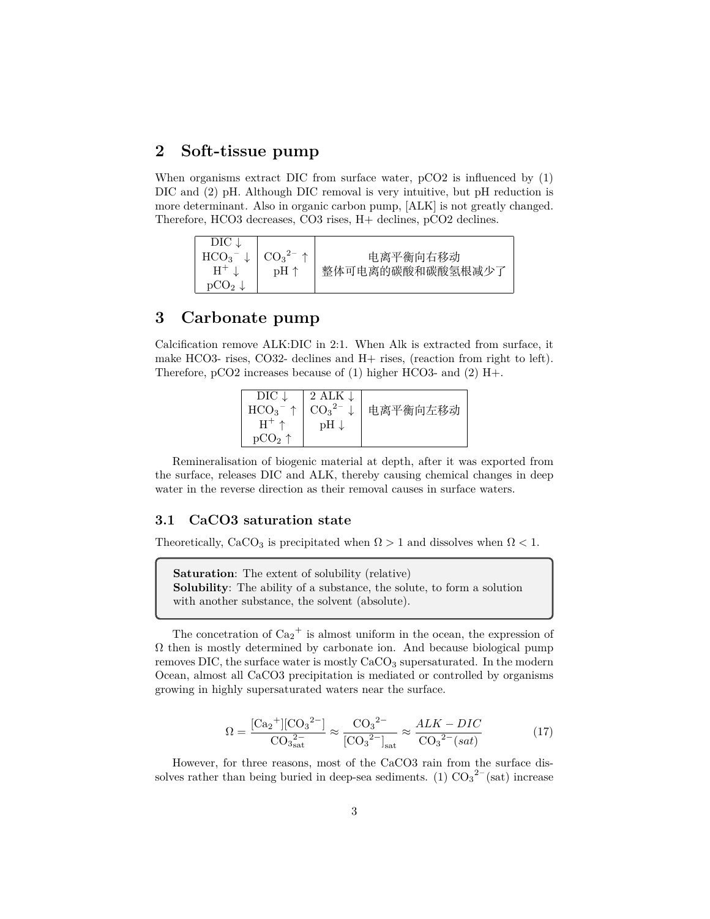### **2 Soft-tissue pump**

When organisms extract DIC from surface water, pCO2 is influenced by (1) DIC and (2) pH. Although DIC removal is very intuitive, but pH reduction is more determinant. Also in organic carbon pump, [ALK] is not greatly changed. Therefore, HCO3 decreases, CO3 rises, H+ declines, pCO2 declines.

| DIC              |         |                  |
|------------------|---------|------------------|
| HCO <sub>3</sub> | $CO32-$ | 电离平衡向右移动         |
| $H^+$            | pH ↑    | 整体可电离的碳酸和碳酸氢根减少了 |
| $\rm{OCO_{2}}$   |         |                  |

### **3 Carbonate pump**

Calcification remove ALK:DIC in 2:1. When Alk is extracted from surface, it make HCO3- rises, CO32- declines and H+ rises, (reaction from right to left). Therefore, pCO2 increases because of (1) higher HCO3- and (2) H+.

| $DIC \downarrow$        | 2 ALK $\downarrow$                                 |          |
|-------------------------|----------------------------------------------------|----------|
| HCO <sub>3</sub><br>- 个 | $\big $ CO <sub>3</sub> <sup>2-</sup> $\downarrow$ | 电离平衡向左移动 |
| $H^{+} \uparrow$        | $pH \downarrow$                                    |          |
| pCO <sub>2</sub> ↑      |                                                    |          |

Remineralisation of biogenic material at depth, after it was exported from the surface, releases DIC and ALK, thereby causing chemical changes in deep water in the reverse direction as their removal causes in surface waters.

### **3.1 CaCO3 saturation state**

Theoretically, CaCO<sub>3</sub> is precipitated when  $\Omega > 1$  and dissolves when  $\Omega < 1$ .

**Saturation**: The extent of solubility (relative) **Solubility**: The ability of a substance, the solute, to form a solution with another substance, the solvent (absolute).

The concetration of  $Ca_2^+$  is almost uniform in the ocean, the expression of  $\Omega$  then is mostly determined by carbonate ion. And because biological pump removes DIC, the surface water is mostly  $CaCO<sub>3</sub>$  supersaturated. In the modern Ocean, almost all CaCO3 precipitation is mediated or controlled by organisms growing in highly supersaturated waters near the surface.

$$
\Omega = \frac{[\text{Ca}_2^+][\text{CO}_3^{2-}]}{\text{CO}_3^{2-}} \approx \frac{\text{CO}_3^{2-}}{[\text{CO}_3^{2-}]_{\text{sat}}} \approx \frac{ALK - DIC}{\text{CO}_3^{2-}(sat)}\tag{17}
$$

However, for three reasons, most of the CaCO3 rain from the surface dissolves rather than being buried in deep-sea sediments. (1)  $CO_3^2$ <sup>-</sup>(sat) increase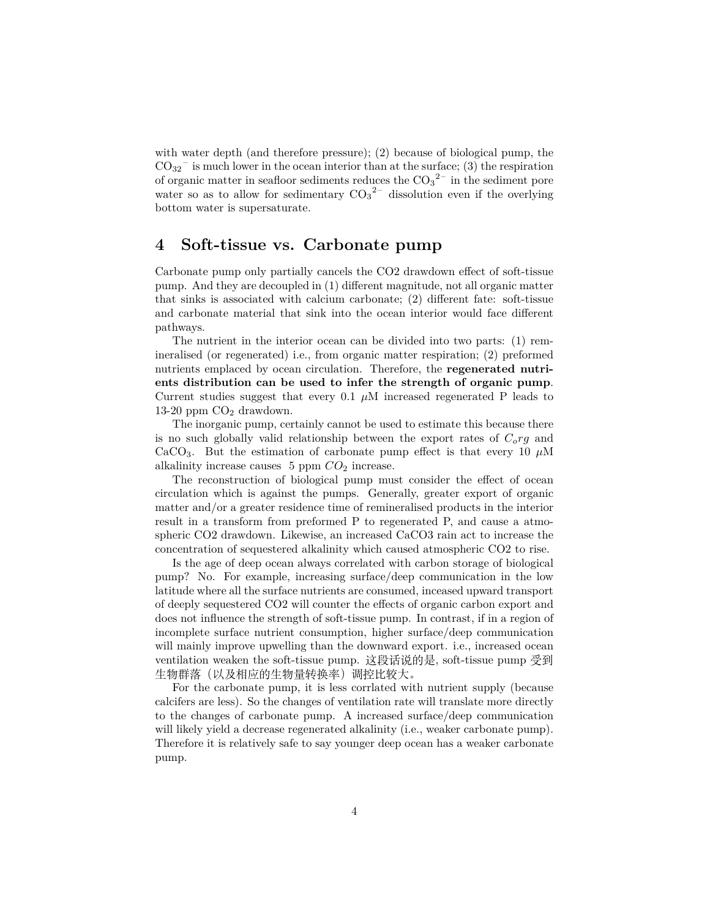with water depth (and therefore pressure); (2) because of biological pump, the  $CO_{32}$ <sup>-</sup> is much lower in the ocean interior than at the surface; (3) the respiration of organic matter in seafloor sediments reduces the  $CO_3^2$ <sup>-</sup> in the sediment pore water so as to allow for sedimentary  $CO_3^2$  dissolution even if the overlying bottom water is supersaturate.

### **4 Soft-tissue vs. Carbonate pump**

Carbonate pump only partially cancels the CO2 drawdown effect of soft-tissue pump. And they are decoupled in (1) different magnitude, not all organic matter that sinks is associated with calcium carbonate; (2) different fate: soft-tissue and carbonate material that sink into the ocean interior would face different pathways.

The nutrient in the interior ocean can be divided into two parts: (1) remineralised (or regenerated) i.e., from organic matter respiration; (2) preformed nutrients emplaced by ocean circulation. Therefore, the **regenerated nutrients distribution can be used to infer the strength of organic pump**. Current studies suggest that every  $0.1 \mu M$  increased regenerated P leads to 13-20 ppm  $CO<sub>2</sub>$  drawdown.

The inorganic pump, certainly cannot be used to estimate this because there is no such globally valid relationship between the export rates of *Corg* and CaCO<sub>3</sub>. But the estimation of carbonate pump effect is that every 10  $\mu$ M alkalinity increase causes 5 ppm  $CO<sub>2</sub>$  increase.

The reconstruction of biological pump must consider the effect of ocean circulation which is against the pumps. Generally, greater export of organic matter and/or a greater residence time of remineralised products in the interior result in a transform from preformed P to regenerated P, and cause a atmospheric CO2 drawdown. Likewise, an increased CaCO3 rain act to increase the concentration of sequestered alkalinity which caused atmospheric CO2 to rise.

Is the age of deep ocean always correlated with carbon storage of biological pump? No. For example, increasing surface/deep communication in the low latitude where all the surface nutrients are consumed, inceased upward transport of deeply sequestered CO2 will counter the effects of organic carbon export and does not influence the strength of soft-tissue pump. In contrast, if in a region of incomplete surface nutrient consumption, higher surface/deep communication will mainly improve upwelling than the downward export. i.e., increased ocean ventilation weaken the soft-tissue pump. 这段话说的是, soft-tissue pump 受到 生物群落(以及相应的生物量转换率)调控比较大。

For the carbonate pump, it is less corrlated with nutrient supply (because calcifers are less). So the changes of ventilation rate will translate more directly to the changes of carbonate pump. A increased surface/deep communication will likely yield a decrease regenerated alkalinity (i.e., weaker carbonate pump). Therefore it is relatively safe to say younger deep ocean has a weaker carbonate pump.